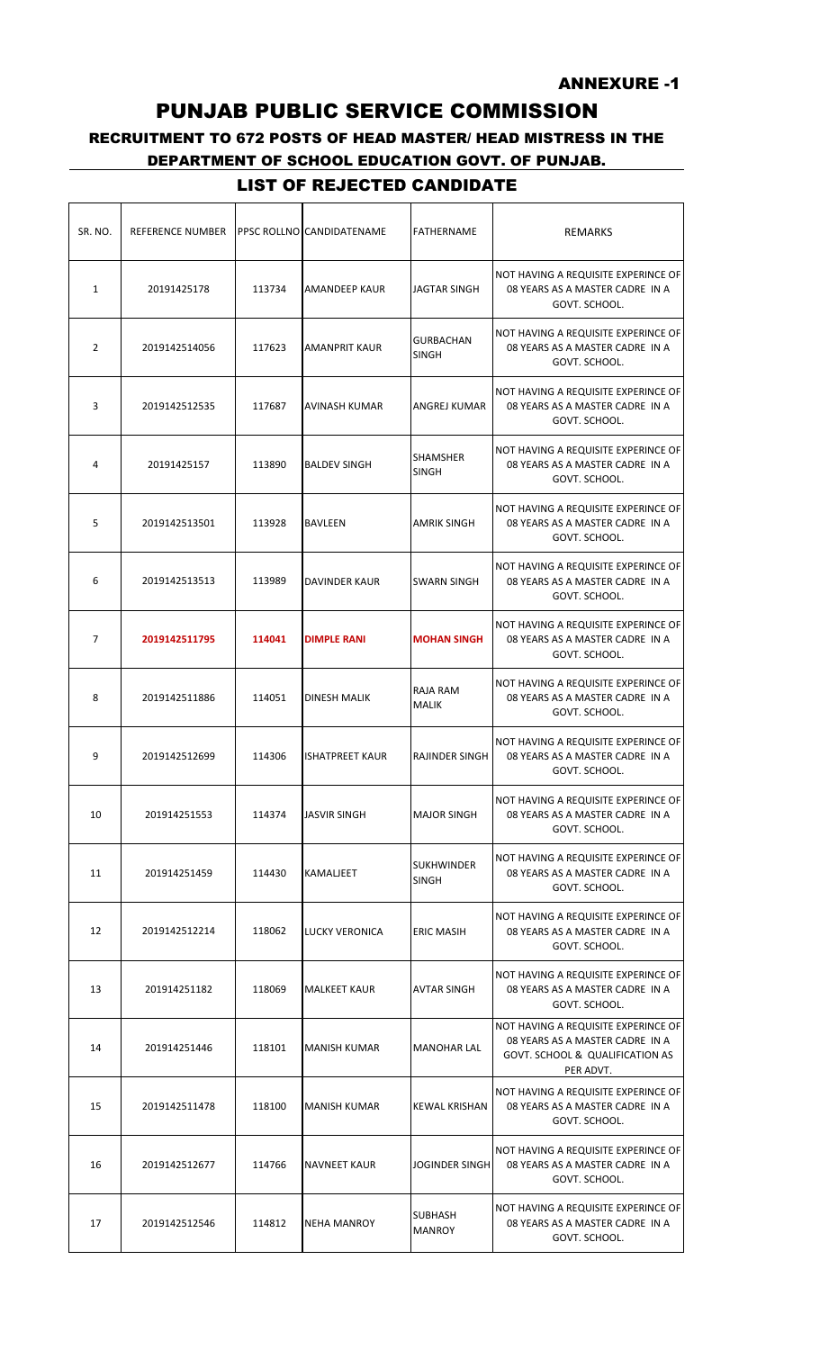## RECRUITMENT TO 672 POSTS OF HEAD MASTER/ HEAD MISTRESS IN THE DEPARTMENT OF SCHOOL EDUCATION GOVT. OF PUNJAB.

| SR. NO.        | <b>REFERENCE NUMBER</b> |        | PPSC ROLLNO CANDIDATENAME | <b>FATHERNAME</b>                 | <b>REMARKS</b>                                                                                                         |
|----------------|-------------------------|--------|---------------------------|-----------------------------------|------------------------------------------------------------------------------------------------------------------------|
| $\mathbf{1}$   | 20191425178             | 113734 | AMANDEEP KAUR             | <b>JAGTAR SINGH</b>               | NOT HAVING A REQUISITE EXPERINCE OF<br>08 YEARS AS A MASTER CADRE IN A<br>GOVT. SCHOOL.                                |
| 2              | 2019142514056           | 117623 | AMANPRIT KAUR             | <b>GURBACHAN</b><br><b>SINGH</b>  | NOT HAVING A REQUISITE EXPERINCE OF<br>08 YEARS AS A MASTER CADRE IN A<br>GOVT. SCHOOL.                                |
| 3              | 2019142512535           | 117687 | AVINASH KUMAR             | ANGREJ KUMAR                      | NOT HAVING A REQUISITE EXPERINCE OF<br>08 YEARS AS A MASTER CADRE IN A<br>GOVT. SCHOOL.                                |
| 4              | 20191425157             | 113890 | <b>BALDEV SINGH</b>       | SHAMSHER<br><b>SINGH</b>          | NOT HAVING A REQUISITE EXPERINCE OF<br>08 YEARS AS A MASTER CADRE IN A<br>GOVT. SCHOOL.                                |
| 5              | 2019142513501           | 113928 | <b>BAVLEEN</b>            | <b>AMRIK SINGH</b>                | NOT HAVING A REQUISITE EXPERINCE OF<br>08 YEARS AS A MASTER CADRE IN A<br>GOVT. SCHOOL.                                |
| 6              | 2019142513513           | 113989 | DAVINDER KAUR             | <b>SWARN SINGH</b>                | NOT HAVING A REQUISITE EXPERINCE OF<br>08 YEARS AS A MASTER CADRE IN A<br>GOVT. SCHOOL.                                |
| $\overline{7}$ | 2019142511795           | 114041 | <b>DIMPLE RANI</b>        | <b>MOHAN SINGH</b>                | NOT HAVING A REQUISITE EXPERINCE OF<br>08 YEARS AS A MASTER CADRE IN A<br>GOVT. SCHOOL.                                |
| 8              | 2019142511886           | 114051 | <b>DINESH MALIK</b>       | RAJA RAM<br>MALIK                 | NOT HAVING A REQUISITE EXPERINCE OF<br>08 YEARS AS A MASTER CADRE IN A<br>GOVT. SCHOOL.                                |
| 9              | 2019142512699           | 114306 | <b>ISHATPREET KAUR</b>    | RAJINDER SINGH                    | NOT HAVING A REQUISITE EXPERINCE OF<br>08 YEARS AS A MASTER CADRE IN A<br>GOVT. SCHOOL.                                |
| 10             | 201914251553            | 114374 | <b>JASVIR SINGH</b>       | <b>MAJOR SINGH</b>                | NOT HAVING A REQUISITE EXPERINCE OF<br>08 YEARS AS A MASTER CADRE IN A<br>GOVT. SCHOOL.                                |
| 11             | 201914251459            | 114430 | KAMALJEET                 | <b>SUKHWINDER</b><br><b>SINGH</b> | NOT HAVING A REQUISITE EXPERINCE OF<br>08 YEARS AS A MASTER CADRE IN A<br>GOVT. SCHOOL.                                |
| 12             | 2019142512214           | 118062 | <b>LUCKY VERONICA</b>     | <b>ERIC MASIH</b>                 | NOT HAVING A REQUISITE EXPERINCE OF<br>08 YEARS AS A MASTER CADRE IN A<br>GOVT. SCHOOL.                                |
| 13             | 201914251182            | 118069 | <b>MALKEET KAUR</b>       | <b>AVTAR SINGH</b>                | NOT HAVING A REQUISITE EXPERINCE OF<br>08 YEARS AS A MASTER CADRE IN A<br>GOVT. SCHOOL.                                |
| 14             | 201914251446            | 118101 | <b>MANISH KUMAR</b>       | <b>MANOHAR LAL</b>                | NOT HAVING A REQUISITE EXPERINCE OF<br>08 YEARS AS A MASTER CADRE IN A<br>GOVT. SCHOOL & QUALIFICATION AS<br>PER ADVT. |
| 15             | 2019142511478           | 118100 | <b>MANISH KUMAR</b>       | <b>KEWAL KRISHAN</b>              | NOT HAVING A REQUISITE EXPERINCE OF<br>08 YEARS AS A MASTER CADRE IN A<br>GOVT. SCHOOL.                                |
| 16             | 2019142512677           | 114766 | NAVNEET KAUR              | <b>JOGINDER SINGH</b>             | NOT HAVING A REQUISITE EXPERINCE OF<br>08 YEARS AS A MASTER CADRE IN A<br>GOVT. SCHOOL.                                |
| 17             | 2019142512546           | 114812 | <b>NEHA MANROY</b>        | SUBHASH<br><b>MANROY</b>          | NOT HAVING A REQUISITE EXPERINCE OF<br>08 YEARS AS A MASTER CADRE IN A<br>GOVT. SCHOOL.                                |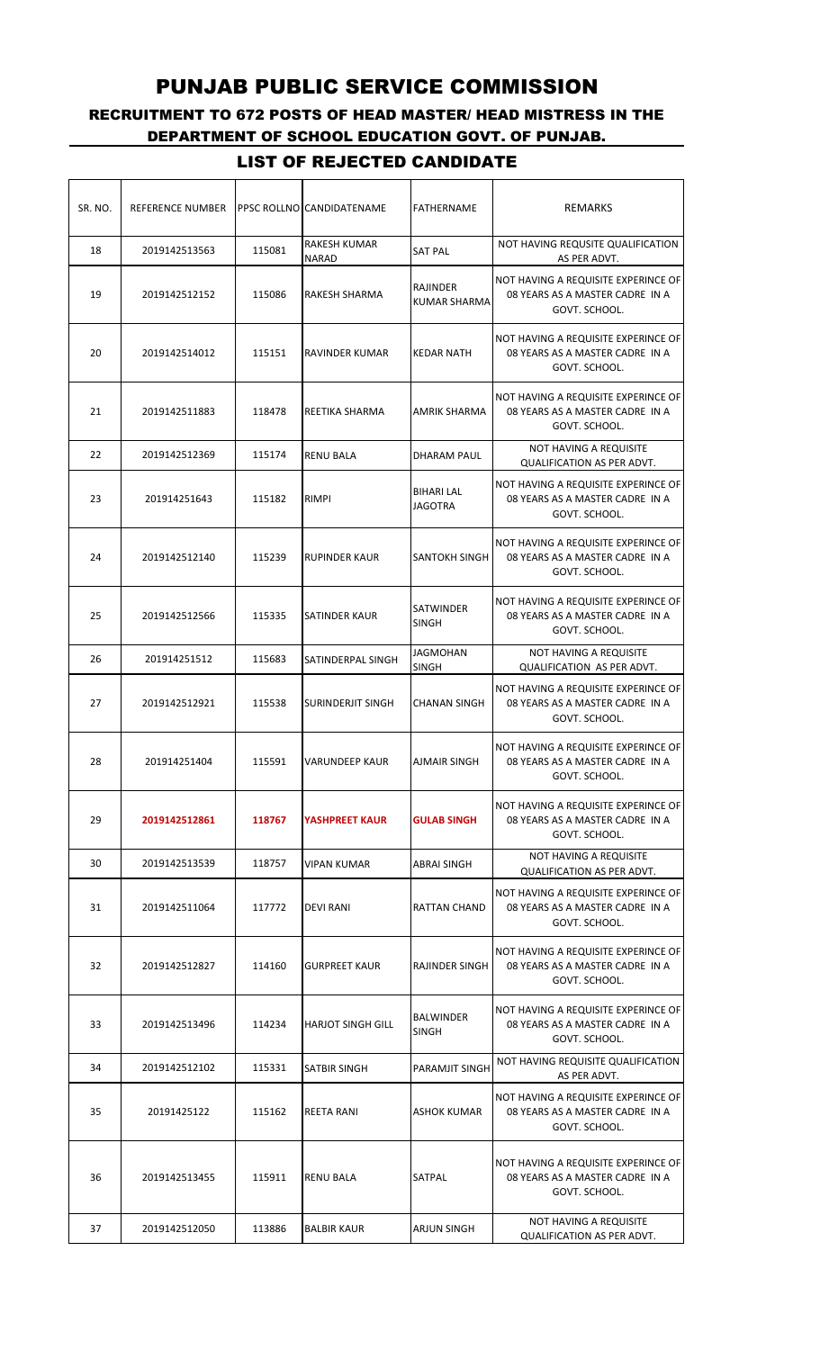# RECRUITMENT TO 672 POSTS OF HEAD MASTER/ HEAD MISTRESS IN THE DEPARTMENT OF SCHOOL EDUCATION GOVT. OF PUNJAB.

| SR. NO. | REFERENCE NUMBER |        | PPSC ROLLNO CANDIDATENAME    | <b>FATHERNAME</b>                   | REMARKS                                                                                 |
|---------|------------------|--------|------------------------------|-------------------------------------|-----------------------------------------------------------------------------------------|
| 18      | 2019142513563    | 115081 | RAKESH KUMAR<br><b>NARAD</b> | <b>SAT PAL</b>                      | NOT HAVING REQUSITE QUALIFICATION<br>AS PER ADVT.                                       |
| 19      | 2019142512152    | 115086 | RAKESH SHARMA                | RAJINDER<br><b>KUMAR SHARMA</b>     | NOT HAVING A REQUISITE EXPERINCE OF<br>08 YEARS AS A MASTER CADRE IN A<br>GOVT. SCHOOL. |
| 20      | 2019142514012    | 115151 | RAVINDER KUMAR               | <b>KEDAR NATH</b>                   | NOT HAVING A REQUISITE EXPERINCE OF<br>08 YEARS AS A MASTER CADRE IN A<br>GOVT. SCHOOL. |
| 21      | 2019142511883    | 118478 | REETIKA SHARMA               | AMRIK SHARMA                        | NOT HAVING A REQUISITE EXPERINCE OF<br>08 YEARS AS A MASTER CADRE IN A<br>GOVT. SCHOOL. |
| 22      | 2019142512369    | 115174 | <b>RENU BALA</b>             | DHARAM PAUL                         | NOT HAVING A REQUISITE<br>QUALIFICATION AS PER ADVT.                                    |
| 23      | 201914251643     | 115182 | <b>RIMPI</b>                 | <b>BIHARI LAL</b><br><b>JAGOTRA</b> | NOT HAVING A REQUISITE EXPERINCE OF<br>08 YEARS AS A MASTER CADRE IN A<br>GOVT. SCHOOL. |
| 24      | 2019142512140    | 115239 | <b>RUPINDER KAUR</b>         | SANTOKH SINGH                       | NOT HAVING A REQUISITE EXPERINCE OF<br>08 YEARS AS A MASTER CADRE IN A<br>GOVT. SCHOOL. |
| 25      | 2019142512566    | 115335 | SATINDER KAUR                | SATWINDER<br><b>SINGH</b>           | NOT HAVING A REQUISITE EXPERINCE OF<br>08 YEARS AS A MASTER CADRE IN A<br>GOVT. SCHOOL. |
| 26      | 201914251512     | 115683 | SATINDERPAL SINGH            | <b>JAGMOHAN</b><br><b>SINGH</b>     | NOT HAVING A REQUISITE<br><b>QUALIFICATION AS PER ADVT.</b>                             |
| 27      | 2019142512921    | 115538 | <b>SURINDERJIT SINGH</b>     | <b>CHANAN SINGH</b>                 | NOT HAVING A REQUISITE EXPERINCE OF<br>08 YEARS AS A MASTER CADRE IN A<br>GOVT. SCHOOL. |
| 28      | 201914251404     | 115591 | <b>VARUNDEEP KAUR</b>        | <b>AJMAIR SINGH</b>                 | NOT HAVING A REQUISITE EXPERINCE OF<br>08 YEARS AS A MASTER CADRE IN A<br>GOVT. SCHOOL. |
| 29      | 2019142512861    | 118767 | <b>YASHPREET KAUR</b>        | <b>GULAB SINGH</b>                  | NOT HAVING A REQUISITE EXPERINCE OF<br>08 YEARS AS A MASTER CADRE IN A<br>GOVT. SCHOOL. |
| 30      | 2019142513539    | 118757 | VIPAN KUMAR                  | ABRAI SINGH                         | NOT HAVING A REQUISITE<br><b>QUALIFICATION AS PER ADVT.</b>                             |
| 31      | 2019142511064    | 117772 | <b>DEVI RANI</b>             | RATTAN CHAND                        | NOT HAVING A REQUISITE EXPERINCE OF<br>08 YEARS AS A MASTER CADRE IN A<br>GOVT. SCHOOL. |
| 32      | 2019142512827    | 114160 | <b>GURPREET KAUR</b>         | RAJINDER SINGH                      | NOT HAVING A REQUISITE EXPERINCE OF<br>08 YEARS AS A MASTER CADRE IN A<br>GOVT. SCHOOL. |
| 33      | 2019142513496    | 114234 | <b>HARJOT SINGH GILL</b>     | <b>BALWINDER</b><br><b>SINGH</b>    | NOT HAVING A REQUISITE EXPERINCE OF<br>08 YEARS AS A MASTER CADRE IN A<br>GOVT. SCHOOL. |
| 34      | 2019142512102    | 115331 | SATBIR SINGH                 | PARAMJIT SINGH                      | NOT HAVING REQUISITE QUALIFICATION<br>AS PER ADVT.                                      |
| 35      | 20191425122      | 115162 | <b>REETA RANI</b>            | ASHOK KUMAR                         | NOT HAVING A REQUISITE EXPERINCE OF<br>08 YEARS AS A MASTER CADRE IN A<br>GOVT. SCHOOL. |
| 36      | 2019142513455    | 115911 | <b>RENU BALA</b>             | SATPAL                              | NOT HAVING A REQUISITE EXPERINCE OF<br>08 YEARS AS A MASTER CADRE IN A<br>GOVT. SCHOOL. |
| 37      | 2019142512050    | 113886 | <b>BALBIR KAUR</b>           | ARJUN SINGH                         | NOT HAVING A REQUISITE<br><b>QUALIFICATION AS PER ADVT.</b>                             |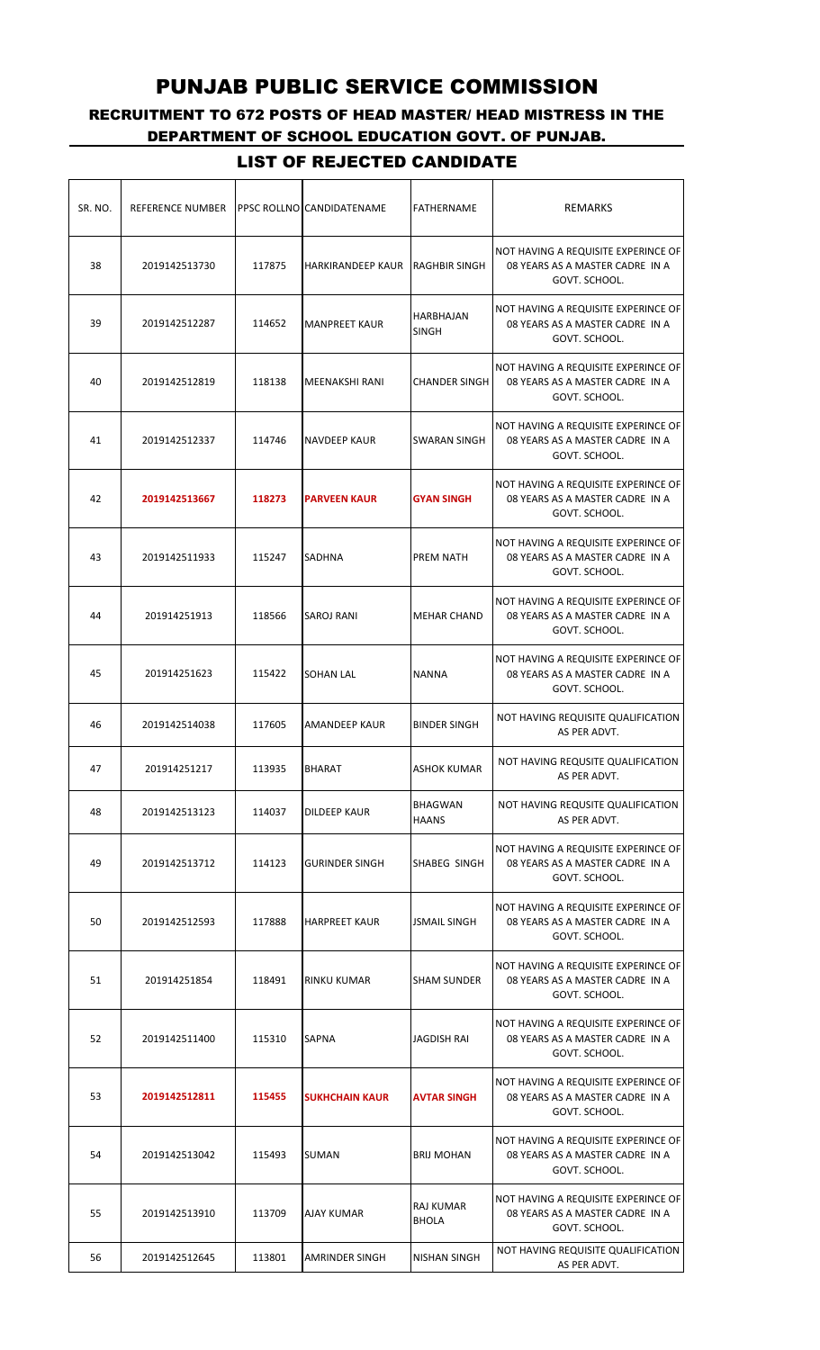# RECRUITMENT TO 672 POSTS OF HEAD MASTER/ HEAD MISTRESS IN THE DEPARTMENT OF SCHOOL EDUCATION GOVT. OF PUNJAB.

| SR. NO. | REFERENCE NUMBER |        | PPSC ROLLNO CANDIDATENAME | FATHERNAME                     | <b>REMARKS</b>                                                                          |
|---------|------------------|--------|---------------------------|--------------------------------|-----------------------------------------------------------------------------------------|
| 38      | 2019142513730    | 117875 | <b>HARKIRANDEEP KAUR</b>  | <b>RAGHBIR SINGH</b>           | NOT HAVING A REQUISITE EXPERINCE OF<br>08 YEARS AS A MASTER CADRE IN A<br>GOVT. SCHOOL. |
| 39      | 2019142512287    | 114652 | <b>MANPREET KAUR</b>      | HARBHAJAN<br><b>SINGH</b>      | NOT HAVING A REQUISITE EXPERINCE OF<br>08 YEARS AS A MASTER CADRE IN A<br>GOVT. SCHOOL. |
| 40      | 2019142512819    | 118138 | MEENAKSHI RANI            | <b>CHANDER SINGH</b>           | NOT HAVING A REQUISITE EXPERINCE OF<br>08 YEARS AS A MASTER CADRE IN A<br>GOVT. SCHOOL. |
| 41      | 2019142512337    | 114746 | <b>NAVDEEP KAUR</b>       | <b>SWARAN SINGH</b>            | NOT HAVING A REQUISITE EXPERINCE OF<br>08 YEARS AS A MASTER CADRE IN A<br>GOVT. SCHOOL. |
| 42      | 2019142513667    | 118273 | <b>PARVEEN KAUR</b>       | <b>GYAN SINGH</b>              | NOT HAVING A REQUISITE EXPERINCE OF<br>08 YEARS AS A MASTER CADRE IN A<br>GOVT. SCHOOL. |
| 43      | 2019142511933    | 115247 | <b>SADHNA</b>             | PREM NATH                      | NOT HAVING A REQUISITE EXPERINCE OF<br>08 YEARS AS A MASTER CADRE IN A<br>GOVT. SCHOOL. |
| 44      | 201914251913     | 118566 | SAROJ RANI                | <b>MEHAR CHAND</b>             | NOT HAVING A REQUISITE EXPERINCE OF<br>08 YEARS AS A MASTER CADRE IN A<br>GOVT. SCHOOL. |
| 45      | 201914251623     | 115422 | <b>SOHAN LAL</b>          | <b>NANNA</b>                   | NOT HAVING A REQUISITE EXPERINCE OF<br>08 YEARS AS A MASTER CADRE IN A<br>GOVT. SCHOOL. |
| 46      | 2019142514038    | 117605 | <b>AMANDEEP KAUR</b>      | <b>BINDER SINGH</b>            | NOT HAVING REQUISITE QUALIFICATION<br>AS PER ADVT.                                      |
| 47      | 201914251217     | 113935 | <b>BHARAT</b>             | <b>ASHOK KUMAR</b>             | NOT HAVING REQUSITE QUALIFICATION<br>AS PER ADVT.                                       |
| 48      | 2019142513123    | 114037 | <b>DILDEEP KAUR</b>       | <b>BHAGWAN</b><br><b>HAANS</b> | NOT HAVING REQUSITE QUALIFICATION<br>AS PER ADVT.                                       |
| 49      | 2019142513712    | 114123 | <b>GURINDER SINGH</b>     | SHABEG SINGH                   | NOT HAVING A REQUISITE EXPERINCE OF<br>08 YEARS AS A MASTER CADRE IN A<br>GOVT. SCHOOL. |
| 50      | 2019142512593    | 117888 | <b>HARPREET KAUR</b>      | <b>JSMAIL SINGH</b>            | NOT HAVING A REQUISITE EXPERINCE OF<br>08 YEARS AS A MASTER CADRE IN A<br>GOVT. SCHOOL. |
| 51      | 201914251854     | 118491 | <b>RINKU KUMAR</b>        | <b>SHAM SUNDER</b>             | NOT HAVING A REQUISITE EXPERINCE OF<br>08 YEARS AS A MASTER CADRE IN A<br>GOVT. SCHOOL. |
| 52      | 2019142511400    | 115310 | <b>SAPNA</b>              | JAGDISH RAI                    | NOT HAVING A REQUISITE EXPERINCE OF<br>08 YEARS AS A MASTER CADRE IN A<br>GOVT. SCHOOL. |
| 53      | 2019142512811    | 115455 | <b>SUKHCHAIN KAUR</b>     | <b>AVTAR SINGH</b>             | NOT HAVING A REQUISITE EXPERINCE OF<br>08 YEARS AS A MASTER CADRE IN A<br>GOVT. SCHOOL. |
| 54      | 2019142513042    | 115493 | <b>SUMAN</b>              | <b>BRIJ MOHAN</b>              | NOT HAVING A REQUISITE EXPERINCE OF<br>08 YEARS AS A MASTER CADRE IN A<br>GOVT. SCHOOL. |
| 55      | 2019142513910    | 113709 | AJAY KUMAR                | RAJ KUMAR<br><b>BHOLA</b>      | NOT HAVING A REQUISITE EXPERINCE OF<br>08 YEARS AS A MASTER CADRE IN A<br>GOVT. SCHOOL. |
| 56      | 2019142512645    | 113801 | AMRINDER SINGH            | NISHAN SINGH                   | NOT HAVING REQUISITE QUALIFICATION<br>AS PER ADVT.                                      |